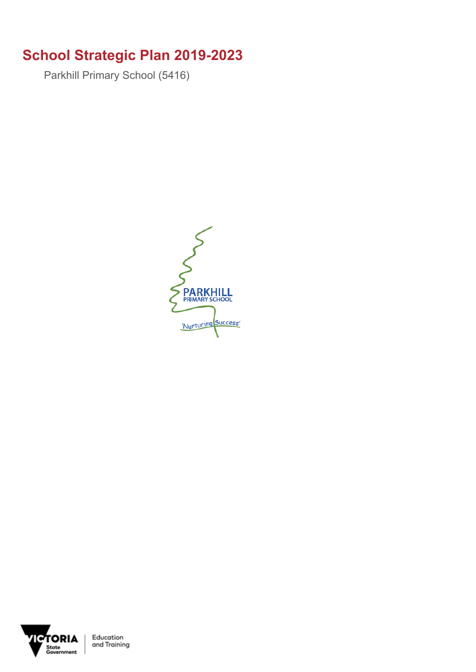## **School Strategic Plan 2019-2023**

Parkhill Primary School (5416)





Education<br>and Training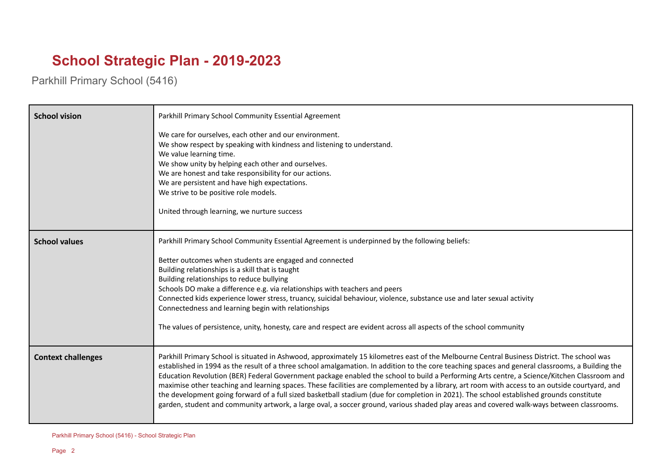## **School Strategic Plan - 2019-2023**

Parkhill Primary School (5416)

| <b>School vision</b>      | Parkhill Primary School Community Essential Agreement                                                                                                                                                                                                                                                                                                                                                                                                                                                                                                                                                                                                                                                                                                                                                                                                                                     |
|---------------------------|-------------------------------------------------------------------------------------------------------------------------------------------------------------------------------------------------------------------------------------------------------------------------------------------------------------------------------------------------------------------------------------------------------------------------------------------------------------------------------------------------------------------------------------------------------------------------------------------------------------------------------------------------------------------------------------------------------------------------------------------------------------------------------------------------------------------------------------------------------------------------------------------|
|                           | We care for ourselves, each other and our environment.<br>We show respect by speaking with kindness and listening to understand.<br>We value learning time.<br>We show unity by helping each other and ourselves.<br>We are honest and take responsibility for our actions.<br>We are persistent and have high expectations.<br>We strive to be positive role models.<br>United through learning, we nurture success                                                                                                                                                                                                                                                                                                                                                                                                                                                                      |
| <b>School values</b>      | Parkhill Primary School Community Essential Agreement is underpinned by the following beliefs:<br>Better outcomes when students are engaged and connected<br>Building relationships is a skill that is taught<br>Building relationships to reduce bullying<br>Schools DO make a difference e.g. via relationships with teachers and peers<br>Connected kids experience lower stress, truancy, suicidal behaviour, violence, substance use and later sexual activity<br>Connectedness and learning begin with relationships<br>The values of persistence, unity, honesty, care and respect are evident across all aspects of the school community                                                                                                                                                                                                                                          |
| <b>Context challenges</b> | Parkhill Primary School is situated in Ashwood, approximately 15 kilometres east of the Melbourne Central Business District. The school was<br>established in 1994 as the result of a three school amalgamation. In addition to the core teaching spaces and general classrooms, a Building the<br>Education Revolution (BER) Federal Government package enabled the school to build a Performing Arts centre, a Science/Kitchen Classroom and<br>maximise other teaching and learning spaces. These facilities are complemented by a library, art room with access to an outside courtyard, and<br>the development going forward of a full sized basketball stadium (due for completion in 2021). The school established grounds constitute<br>garden, student and community artwork, a large oval, a soccer ground, various shaded play areas and covered walk-ways between classrooms. |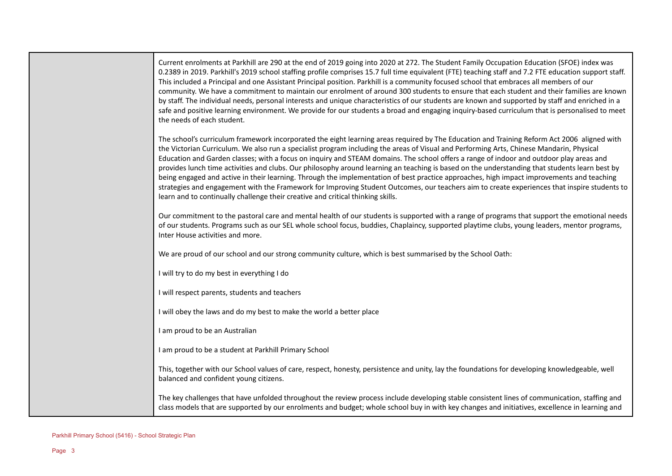| Current enrolments at Parkhill are 290 at the end of 2019 going into 2020 at 272. The Student Family Occupation Education (SFOE) index was<br>0.2389 in 2019. Parkhill's 2019 school staffing profile comprises 15.7 full time equivalent (FTE) teaching staff and 7.2 FTE education support staff.<br>This included a Principal and one Assistant Principal position. Parkhill is a community focused school that embraces all members of our<br>community. We have a commitment to maintain our enrolment of around 300 students to ensure that each student and their families are known<br>by staff. The individual needs, personal interests and unique characteristics of our students are known and supported by staff and enriched in a<br>safe and positive learning environment. We provide for our students a broad and engaging inquiry-based curriculum that is personalised to meet<br>the needs of each student.                                      |
|----------------------------------------------------------------------------------------------------------------------------------------------------------------------------------------------------------------------------------------------------------------------------------------------------------------------------------------------------------------------------------------------------------------------------------------------------------------------------------------------------------------------------------------------------------------------------------------------------------------------------------------------------------------------------------------------------------------------------------------------------------------------------------------------------------------------------------------------------------------------------------------------------------------------------------------------------------------------|
| The school's curriculum framework incorporated the eight learning areas required by The Education and Training Reform Act 2006 aligned with<br>the Victorian Curriculum. We also run a specialist program including the areas of Visual and Performing Arts, Chinese Mandarin, Physical<br>Education and Garden classes; with a focus on inquiry and STEAM domains. The school offers a range of indoor and outdoor play areas and<br>provides lunch time activities and clubs. Our philosophy around learning an teaching is based on the understanding that students learn best by<br>being engaged and active in their learning. Through the implementation of best practice approaches, high impact improvements and teaching<br>strategies and engagement with the Framework for Improving Student Outcomes, our teachers aim to create experiences that inspire students to<br>learn and to continually challenge their creative and critical thinking skills. |
| Our commitment to the pastoral care and mental health of our students is supported with a range of programs that support the emotional needs<br>of our students. Programs such as our SEL whole school focus, buddies, Chaplaincy, supported playtime clubs, young leaders, mentor programs,<br>Inter House activities and more.                                                                                                                                                                                                                                                                                                                                                                                                                                                                                                                                                                                                                                     |
| We are proud of our school and our strong community culture, which is best summarised by the School Oath:                                                                                                                                                                                                                                                                                                                                                                                                                                                                                                                                                                                                                                                                                                                                                                                                                                                            |
| I will try to do my best in everything I do                                                                                                                                                                                                                                                                                                                                                                                                                                                                                                                                                                                                                                                                                                                                                                                                                                                                                                                          |
| I will respect parents, students and teachers                                                                                                                                                                                                                                                                                                                                                                                                                                                                                                                                                                                                                                                                                                                                                                                                                                                                                                                        |
| I will obey the laws and do my best to make the world a better place                                                                                                                                                                                                                                                                                                                                                                                                                                                                                                                                                                                                                                                                                                                                                                                                                                                                                                 |
| I am proud to be an Australian                                                                                                                                                                                                                                                                                                                                                                                                                                                                                                                                                                                                                                                                                                                                                                                                                                                                                                                                       |
| I am proud to be a student at Parkhill Primary School                                                                                                                                                                                                                                                                                                                                                                                                                                                                                                                                                                                                                                                                                                                                                                                                                                                                                                                |
| This, together with our School values of care, respect, honesty, persistence and unity, lay the foundations for developing knowledgeable, well<br>balanced and confident young citizens.                                                                                                                                                                                                                                                                                                                                                                                                                                                                                                                                                                                                                                                                                                                                                                             |
| The key challenges that have unfolded throughout the review process include developing stable consistent lines of communication, staffing and<br>class models that are supported by our enrolments and budget; whole school buy in with key changes and initiatives, excellence in learning and                                                                                                                                                                                                                                                                                                                                                                                                                                                                                                                                                                                                                                                                      |

J.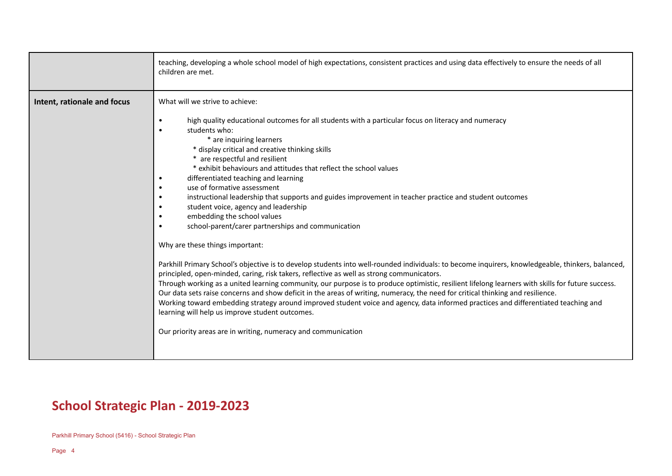|                             | teaching, developing a whole school model of high expectations, consistent practices and using data effectively to ensure the needs of all<br>children are met.                                                                                                                                                                                                                                                                                                                                                                                                                                                                                                                                                                                                                                                                                                                                                                                                                                                                                                                                                                                                                                                                                                                                                                                                                                                                                                                                                                            |
|-----------------------------|--------------------------------------------------------------------------------------------------------------------------------------------------------------------------------------------------------------------------------------------------------------------------------------------------------------------------------------------------------------------------------------------------------------------------------------------------------------------------------------------------------------------------------------------------------------------------------------------------------------------------------------------------------------------------------------------------------------------------------------------------------------------------------------------------------------------------------------------------------------------------------------------------------------------------------------------------------------------------------------------------------------------------------------------------------------------------------------------------------------------------------------------------------------------------------------------------------------------------------------------------------------------------------------------------------------------------------------------------------------------------------------------------------------------------------------------------------------------------------------------------------------------------------------------|
| Intent, rationale and focus | What will we strive to achieve:<br>high quality educational outcomes for all students with a particular focus on literacy and numeracy<br>$\bullet$<br>students who:<br>$\bullet$<br>* are inquiring learners<br>* display critical and creative thinking skills<br>* are respectful and resilient<br>* exhibit behaviours and attitudes that reflect the school values<br>differentiated teaching and learning<br>use of formative assessment<br>instructional leadership that supports and guides improvement in teacher practice and student outcomes<br>student voice, agency and leadership<br>embedding the school values<br>$\bullet$<br>school-parent/carer partnerships and communication<br>Why are these things important:<br>Parkhill Primary School's objective is to develop students into well-rounded individuals: to become inquirers, knowledgeable, thinkers, balanced,<br>principled, open-minded, caring, risk takers, reflective as well as strong communicators.<br>Through working as a united learning community, our purpose is to produce optimistic, resilient lifelong learners with skills for future success.<br>Our data sets raise concerns and show deficit in the areas of writing, numeracy, the need for critical thinking and resilience.<br>Working toward embedding strategy around improved student voice and agency, data informed practices and differentiated teaching and<br>learning will help us improve student outcomes.<br>Our priority areas are in writing, numeracy and communication |

## **School Strategic Plan - 2019-2023**

Parkhill Primary School (5416) - School Strategic Plan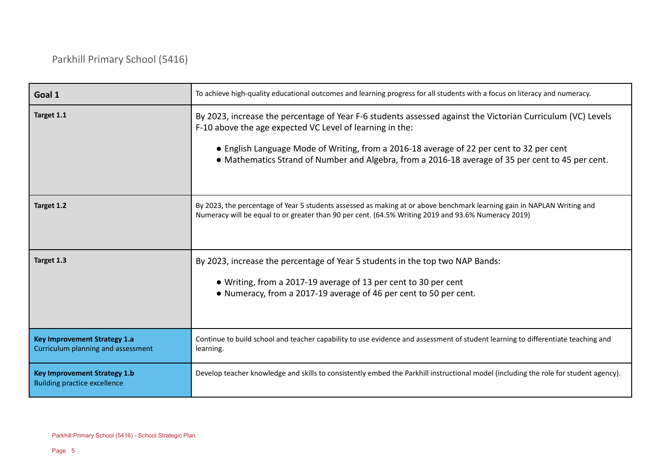| Goal 1                                                                     | To achieve high-quality educational outcomes and learning progress for all students with a focus on literacy and numeracy.                                                                                                                                                                                                                                               |
|----------------------------------------------------------------------------|--------------------------------------------------------------------------------------------------------------------------------------------------------------------------------------------------------------------------------------------------------------------------------------------------------------------------------------------------------------------------|
| Target 1.1                                                                 | By 2023, increase the percentage of Year F-6 students assessed against the Victorian Curriculum (VC) Levels<br>F-10 above the age expected VC Level of learning in the:<br>• English Language Mode of Writing, from a 2016-18 average of 22 per cent to 32 per cent<br>• Mathematics Strand of Number and Algebra, from a 2016-18 average of 35 per cent to 45 per cent. |
| Target 1.2                                                                 | By 2023, the percentage of Year 5 students assessed as making at or above benchmark learning gain in NAPLAN Writing and<br>Numeracy will be equal to or greater than 90 per cent. (64.5% Writing 2019 and 93.6% Numeracy 2019)                                                                                                                                           |
| Target 1.3                                                                 | By 2023, increase the percentage of Year 5 students in the top two NAP Bands:<br>• Writing, from a 2017-19 average of 13 per cent to 30 per cent<br>• Numeracy, from a 2017-19 average of 46 per cent to 50 per cent.                                                                                                                                                    |
| <b>Key Improvement Strategy 1.a</b><br>Curriculum planning and assessment  | Continue to build school and teacher capability to use evidence and assessment of student learning to differentiate teaching and<br>learning.                                                                                                                                                                                                                            |
| <b>Key Improvement Strategy 1.b</b><br><b>Building practice excellence</b> | Develop teacher knowledge and skills to consistently embed the Parkhill instructional model (including the role for student agency).                                                                                                                                                                                                                                     |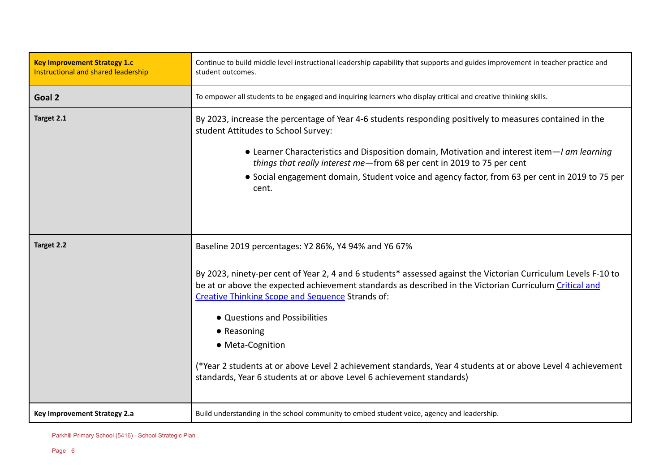| <b>Key Improvement Strategy 1.c</b><br>Instructional and shared leadership | Continue to build middle level instructional leadership capability that supports and guides improvement in teacher practice and<br>student outcomes.                                                                                                                                                                                                                                                                                                                                                                                                                                                              |
|----------------------------------------------------------------------------|-------------------------------------------------------------------------------------------------------------------------------------------------------------------------------------------------------------------------------------------------------------------------------------------------------------------------------------------------------------------------------------------------------------------------------------------------------------------------------------------------------------------------------------------------------------------------------------------------------------------|
| Goal 2                                                                     | To empower all students to be engaged and inquiring learners who display critical and creative thinking skills.                                                                                                                                                                                                                                                                                                                                                                                                                                                                                                   |
| Target 2.1                                                                 | By 2023, increase the percentage of Year 4-6 students responding positively to measures contained in the<br>student Attitudes to School Survey:<br>• Learner Characteristics and Disposition domain, Motivation and interest item- <i>I am learning</i><br>things that really interest me-from 68 per cent in 2019 to 75 per cent<br>• Social engagement domain, Student voice and agency factor, from 63 per cent in 2019 to 75 per<br>cent.                                                                                                                                                                     |
| Target 2.2                                                                 | Baseline 2019 percentages: Y2 86%, Y4 94% and Y6 67%<br>By 2023, ninety-per cent of Year 2, 4 and 6 students* assessed against the Victorian Curriculum Levels F-10 to<br>be at or above the expected achievement standards as described in the Victorian Curriculum Critical and<br><b>Creative Thinking Scope and Sequence Strands of:</b><br>• Questions and Possibilities<br>$\bullet$ Reasoning<br>• Meta-Cognition<br>(*Year 2 students at or above Level 2 achievement standards, Year 4 students at or above Level 4 achievement<br>standards, Year 6 students at or above Level 6 achievement standards) |
| Key Improvement Strategy 2.a                                               | Build understanding in the school community to embed student voice, agency and leadership.                                                                                                                                                                                                                                                                                                                                                                                                                                                                                                                        |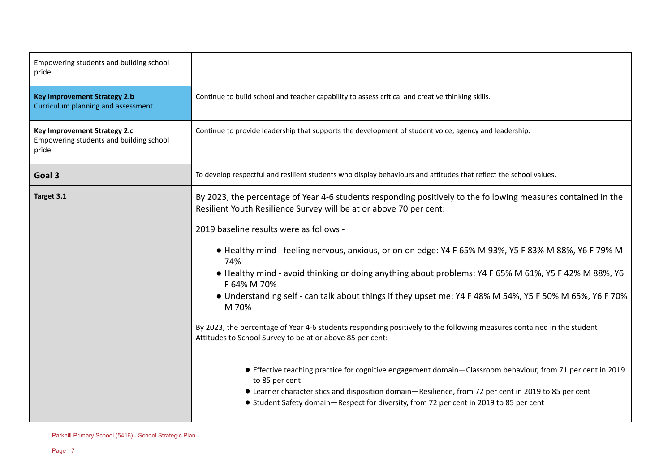| Empowering students and building school<br>pride                                 |                                                                                                                                                                                                |
|----------------------------------------------------------------------------------|------------------------------------------------------------------------------------------------------------------------------------------------------------------------------------------------|
| <b>Key Improvement Strategy 2.b</b><br>Curriculum planning and assessment        | Continue to build school and teacher capability to assess critical and creative thinking skills.                                                                                               |
| Key Improvement Strategy 2.c<br>Empowering students and building school<br>pride | Continue to provide leadership that supports the development of student voice, agency and leadership.                                                                                          |
| Goal 3                                                                           | To develop respectful and resilient students who display behaviours and attitudes that reflect the school values.                                                                              |
| Target 3.1                                                                       | By 2023, the percentage of Year 4-6 students responding positively to the following measures contained in the<br>Resilient Youth Resilience Survey will be at or above 70 per cent:            |
|                                                                                  | 2019 baseline results were as follows -                                                                                                                                                        |
|                                                                                  | • Healthy mind - feeling nervous, anxious, or on on edge: Y4 F 65% M 93%, Y5 F 83% M 88%, Y6 F 79% M<br>74%                                                                                    |
|                                                                                  | • Healthy mind - avoid thinking or doing anything about problems: Y4 F 65% M 61%, Y5 F 42% M 88%, Y6<br>F 64% M 70%                                                                            |
|                                                                                  | • Understanding self - can talk about things if they upset me: Y4 F 48% M 54%, Y5 F 50% M 65%, Y6 F 70%<br>M 70%                                                                               |
|                                                                                  | By 2023, the percentage of Year 4-6 students responding positively to the following measures contained in the student<br>Attitudes to School Survey to be at or above 85 per cent:             |
|                                                                                  | • Effective teaching practice for cognitive engagement domain-Classroom behaviour, from 71 per cent in 2019<br>to 85 per cent                                                                  |
|                                                                                  | • Learner characteristics and disposition domain-Resilience, from 72 per cent in 2019 to 85 per cent<br>• Student Safety domain-Respect for diversity, from 72 per cent in 2019 to 85 per cent |